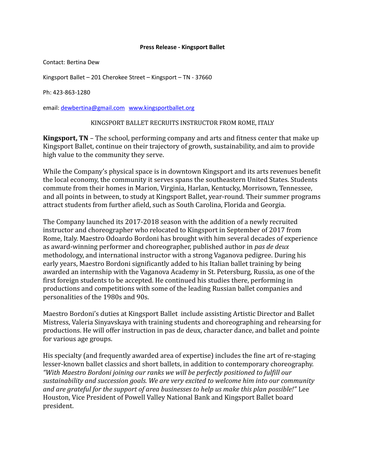## **Press Release - Kingsport Ballet**

Contact: Bertina Dew

Kingsport Ballet – 201 Cherokee Street – Kingsport – TN - 37660

Ph: 423-863-1280

email: [dewbertina@gmail.com](mailto:dewbertina@gmail.com) [www.kingsportballet.org](http://www.kingsportballet.org/)

## KINGSPORT BALLET RECRUITS INSTRUCTOR FROM ROME, ITALY

**Kingsport, TN** – The school, performing company and arts and fitness center that make up Kingsport Ballet, continue on their trajectory of growth, sustainability, and aim to provide high value to the community they serve.

While the Company's physical space is in downtown Kingsport and its arts revenues benefit the local economy, the community it serves spans the southeastern United States. Students commute from their homes in Marion, Virginia, Harlan, Kentucky, Morrisown, Tennessee, and all points in between, to study at Kingsport Ballet, year-round. Their summer programs attract students from further afield, such as South Carolina, Florida and Georgia.

The Company launched its 2017-2018 season with the addition of a newly recruited instructor and choreographer who relocated to Kingsport in September of 2017 from Rome, Italy. Maestro Odoardo Bordoni has brought with him several decades of experience as award-winning performer and choreographer, published author in *pas de deux* methodology, and international instructor with a strong Vaganova pedigree. During his early years, Maestro Bordoni significantly added to his Italian ballet training by being awarded an internship with the Vaganova Academy in St. Petersburg, Russia, as one of the first foreign students to be accepted. He continued his studies there, performing in productions and competitions with some of the leading Russian ballet companies and personalities of the 1980s and 90s.

Maestro Bordoni's duties at Kingsport Ballet include assisting Artistic Director and Ballet Mistress, Valeria Sinyavskaya with training students and choreographing and rehearsing for productions. He will offer instruction in pas de deux, character dance, and ballet and pointe for various age groups.

His specialty (and frequently awarded area of expertise) includes the fine art of re-staging lesser-known ballet classics and short ballets, in addition to contemporary choreography. *"With Maestro Bordoni joining our ranks we will be perfectly positioned to fulfill our sustainability and succession goals. We are very excited to welcome him into our community and are grateful for the support of area businesses to help us make this plan possible!"* Lee Houston, Vice President of Powell Valley National Bank and Kingsport Ballet board president.